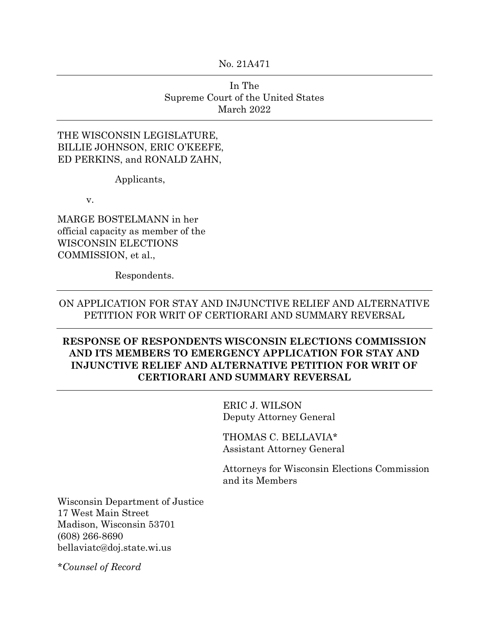No. 21A471

# In The Supreme Court of the United States March 2022

### THE WISCONSIN LEGISLATURE, BILLIE JOHNSON, ERIC O'KEEFE, ED PERKINS, and RONALD ZAHN,

Applicants,

v.

MARGE BOSTELMANN in her official capacity as member of the WISCONSIN ELECTIONS COMMISSION, et al.,

Respondents.

## ON APPLICATION FOR STAY AND INJUNCTIVE RELIEF AND ALTERNATIVE PETITION FOR WRIT OF CERTIORARI AND SUMMARY REVERSAL

# **RESPONSE OF RESPONDENTS WISCONSIN ELECTIONS COMMISSION AND ITS MEMBERS TO EMERGENCY APPLICATION FOR STAY AND INJUNCTIVE RELIEF AND ALTERNATIVE PETITION FOR WRIT OF CERTIORARI AND SUMMARY REVERSAL**

ERIC J. WILSON Deputy Attorney General

THOMAS C. BELLAVIA\* Assistant Attorney General

Attorneys for Wisconsin Elections Commission and its Members

Wisconsin Department of Justice 17 West Main Street Madison, Wisconsin 53701 (608) 266-8690 bellaviatc@doj.state.wi.us

*\*Counsel of Record*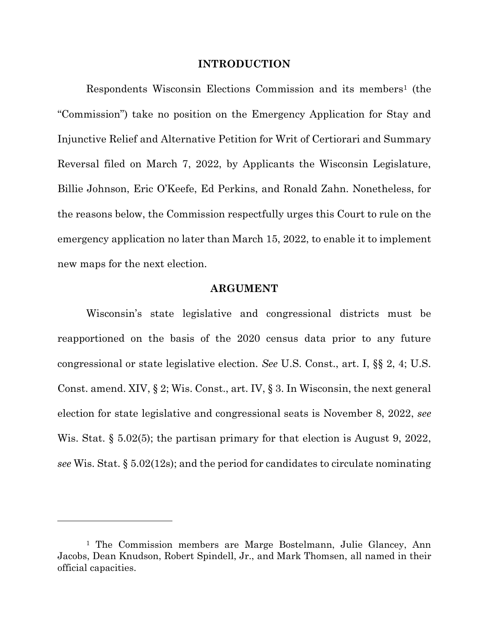#### **INTRODUCTION**

Respondents Wisconsin Elections Commission and its members<sup>1</sup> (the "Commission") take no position on the Emergency Application for Stay and Injunctive Relief and Alternative Petition for Writ of Certiorari and Summary Reversal filed on March 7, 2022, by Applicants the Wisconsin Legislature, Billie Johnson, Eric O'Keefe, Ed Perkins, and Ronald Zahn. Nonetheless, for the reasons below, the Commission respectfully urges this Court to rule on the emergency application no later than March 15, 2022, to enable it to implement new maps for the next election.

### **ARGUMENT**

Wisconsin's state legislative and congressional districts must be reapportioned on the basis of the 2020 census data prior to any future congressional or state legislative election. *See* U.S. Const., art. I, §§ 2, 4; U.S. Const. amend. XIV, § 2; Wis. Const., art. IV, § 3. In Wisconsin, the next general election for state legislative and congressional seats is November 8, 2022, *see* Wis. Stat. § 5.02(5); the partisan primary for that election is August 9, 2022, *see* Wis. Stat. § 5.02(12s); and the period for candidates to circulate nominating

<sup>1</sup> The Commission members are Marge Bostelmann, Julie Glancey, Ann Jacobs, Dean Knudson, Robert Spindell, Jr., and Mark Thomsen, all named in their official capacities.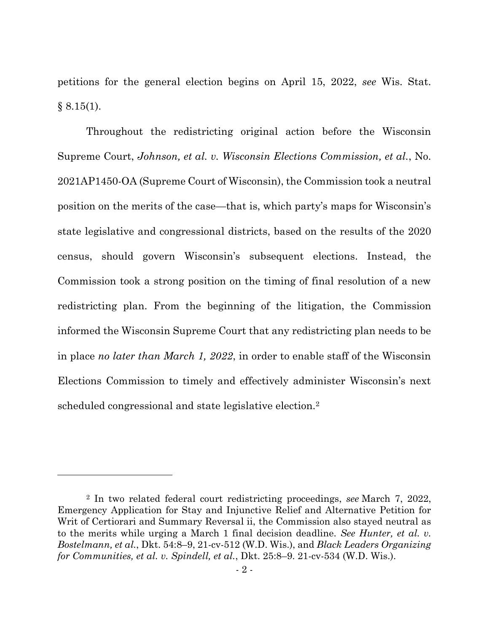petitions for the general election begins on April 15, 2022, *see* Wis. Stat.  $§ 8.15(1).$ 

Throughout the redistricting original action before the Wisconsin Supreme Court, *Johnson, et al. v. Wisconsin Elections Commission, et al.*, No. 2021AP1450-OA (Supreme Court of Wisconsin), the Commission took a neutral position on the merits of the case—that is, which party's maps for Wisconsin's state legislative and congressional districts, based on the results of the 2020 census, should govern Wisconsin's subsequent elections. Instead, the Commission took a strong position on the timing of final resolution of a new redistricting plan. From the beginning of the litigation, the Commission informed the Wisconsin Supreme Court that any redistricting plan needs to be in place *no later than March 1, 2022*, in order to enable staff of the Wisconsin Elections Commission to timely and effectively administer Wisconsin's next scheduled congressional and state legislative election.<sup>2</sup>

<sup>2</sup> In two related federal court redistricting proceedings, *see* March 7, 2022, Emergency Application for Stay and Injunctive Relief and Alternative Petition for Writ of Certiorari and Summary Reversal ii, the Commission also stayed neutral as to the merits while urging a March 1 final decision deadline. *See Hunter, et al. v. Bostelmann, et al.*, Dkt. 54:8–9, 21-cv-512 (W.D. Wis.), and *Black Leaders Organizing for Communities, et al. v. Spindell, et al.*, Dkt. 25:8–9. 21-cv-534 (W.D. Wis.).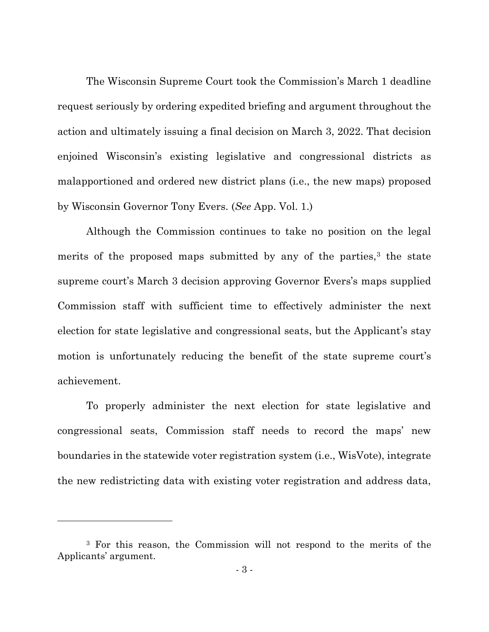The Wisconsin Supreme Court took the Commission's March 1 deadline request seriously by ordering expedited briefing and argument throughout the action and ultimately issuing a final decision on March 3, 2022. That decision enjoined Wisconsin's existing legislative and congressional districts as malapportioned and ordered new district plans (i.e., the new maps) proposed by Wisconsin Governor Tony Evers. (*See* App. Vol. 1.)

Although the Commission continues to take no position on the legal merits of the proposed maps submitted by any of the parties, $3$  the state supreme court's March 3 decision approving Governor Evers's maps supplied Commission staff with sufficient time to effectively administer the next election for state legislative and congressional seats, but the Applicant's stay motion is unfortunately reducing the benefit of the state supreme court's achievement.

To properly administer the next election for state legislative and congressional seats, Commission staff needs to record the maps' new boundaries in the statewide voter registration system (i.e., WisVote), integrate the new redistricting data with existing voter registration and address data,

<sup>3</sup> For this reason, the Commission will not respond to the merits of the Applicants' argument.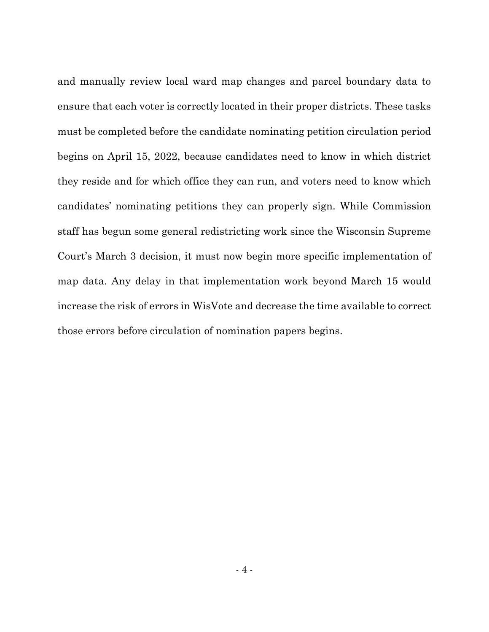and manually review local ward map changes and parcel boundary data to ensure that each voter is correctly located in their proper districts. These tasks must be completed before the candidate nominating petition circulation period begins on April 15, 2022, because candidates need to know in which district they reside and for which office they can run, and voters need to know which candidates' nominating petitions they can properly sign. While Commission staff has begun some general redistricting work since the Wisconsin Supreme Court's March 3 decision, it must now begin more specific implementation of map data. Any delay in that implementation work beyond March 15 would increase the risk of errors in WisVote and decrease the time available to correct those errors before circulation of nomination papers begins.